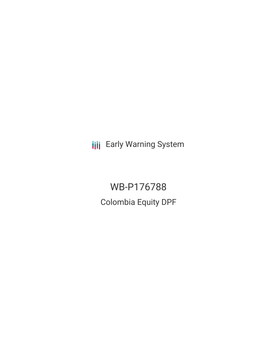**III** Early Warning System

WB-P176788 Colombia Equity DPF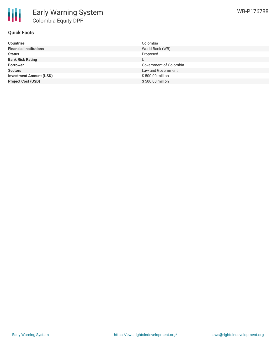

### **Quick Facts**

| <b>Countries</b>               | Colombia               |
|--------------------------------|------------------------|
| <b>Financial Institutions</b>  | World Bank (WB)        |
| <b>Status</b>                  | Proposed               |
| <b>Bank Risk Rating</b>        |                        |
| <b>Borrower</b>                | Government of Colombia |
| <b>Sectors</b>                 | Law and Government     |
| <b>Investment Amount (USD)</b> | \$500.00 million       |
| <b>Project Cost (USD)</b>      | \$500.00 million       |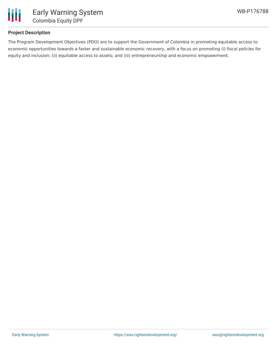

# **Project Description**

The Program Development Objectives (PDO) are to support the Government of Colombia in promoting equitable access to economic opportunities towards a faster and sustainable economic recovery, with a focus on promoting (i) fiscal policies for equity and inclusion; (ii) equitable access to assets; and (iii) entrepreneurship and economic empowerment.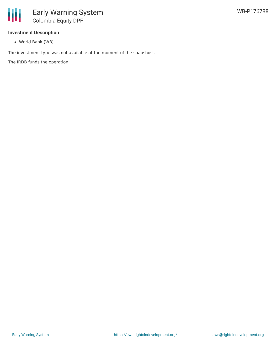

### **Investment Description**

World Bank (WB)

The investment type was not available at the moment of the snapshost.

The IRDB funds the operation.